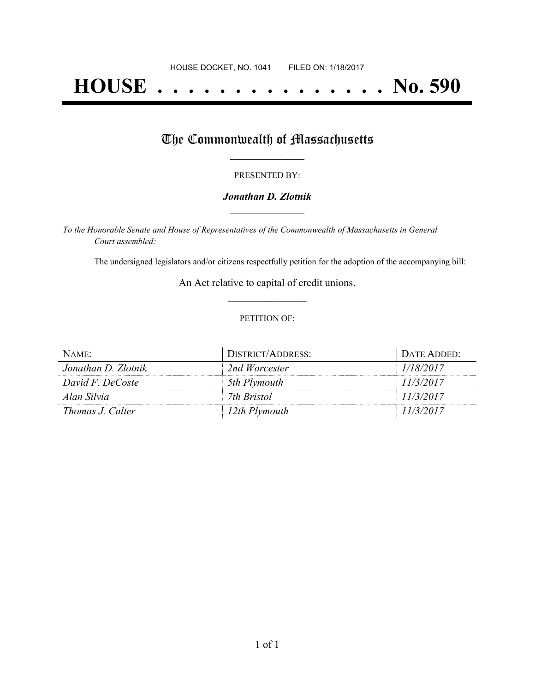# **HOUSE . . . . . . . . . . . . . . . No. 590**

## The Commonwealth of Massachusetts

#### PRESENTED BY:

#### *Jonathan D. Zlotnik* **\_\_\_\_\_\_\_\_\_\_\_\_\_\_\_\_\_**

*To the Honorable Senate and House of Representatives of the Commonwealth of Massachusetts in General Court assembled:*

The undersigned legislators and/or citizens respectfully petition for the adoption of the accompanying bill:

An Act relative to capital of credit unions. **\_\_\_\_\_\_\_\_\_\_\_\_\_\_\_**

#### PETITION OF:

| NAME:               | DISTRICT/ADDRESS: | DATE ADDED: |
|---------------------|-------------------|-------------|
| Jonathan D. Zlotnik | 2nd Worcester     | 1/18/2017   |
| David F. DeCoste    | 5th Plymouth      | 11/3/2017   |
| Alan Silvia         | 7th Bristol       | 11/3/2017   |
| Thomas J. Calter    | 12th Plymouth     | 11/3/2017   |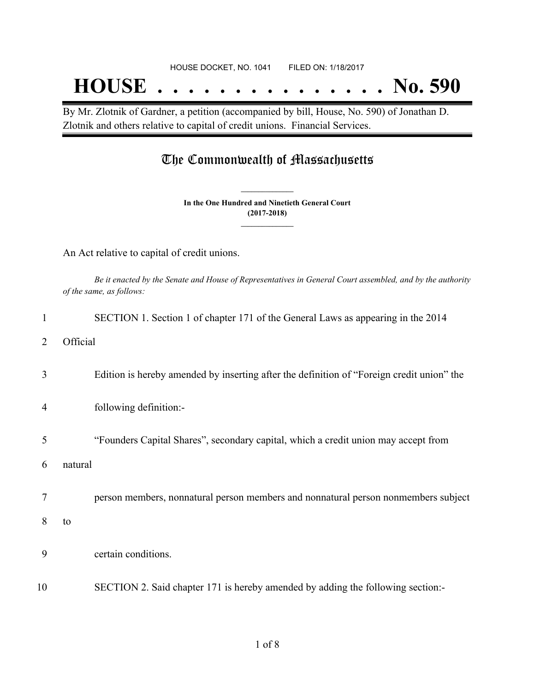## **HOUSE . . . . . . . . . . . . . . . No. 590**

By Mr. Zlotnik of Gardner, a petition (accompanied by bill, House, No. 590) of Jonathan D. Zlotnik and others relative to capital of credit unions. Financial Services.

### The Commonwealth of Massachusetts

**In the One Hundred and Ninetieth General Court (2017-2018) \_\_\_\_\_\_\_\_\_\_\_\_\_\_\_**

**\_\_\_\_\_\_\_\_\_\_\_\_\_\_\_**

An Act relative to capital of credit unions.

Be it enacted by the Senate and House of Representatives in General Court assembled, and by the authority *of the same, as follows:*

|                | SECTION 1. Section 1 of chapter 171 of the General Laws as appearing in the 2014          |
|----------------|-------------------------------------------------------------------------------------------|
| 2              | Official                                                                                  |
| 3              | Edition is hereby amended by inserting after the definition of "Foreign credit union" the |
| $\overline{4}$ | following definition:-                                                                    |
| 5              | "Founders Capital Shares", secondary capital, which a credit union may accept from        |
| 6              | natural                                                                                   |
| 7              | person members, nonnatural person members and nonnatural person nonmembers subject        |
| 8              | to                                                                                        |
| 9              | certain conditions.                                                                       |
| 10             | SECTION 2. Said chapter 171 is hereby amended by adding the following section:-           |
|                |                                                                                           |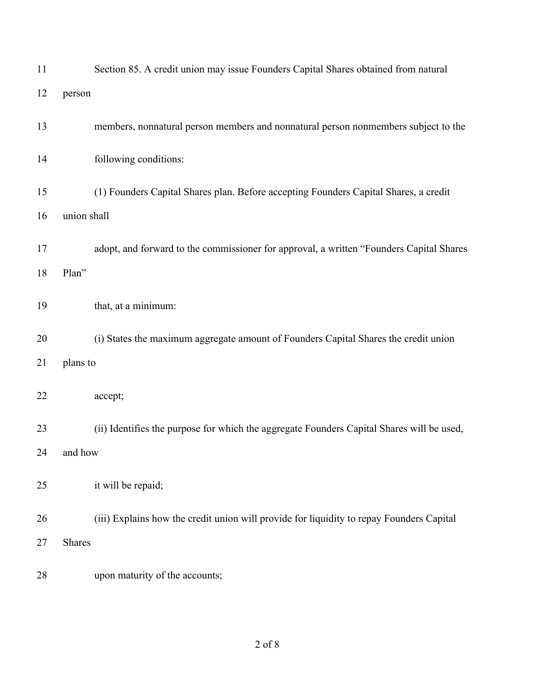| 11 |               | Section 85. A credit union may issue Founders Capital Shares obtained from natural        |
|----|---------------|-------------------------------------------------------------------------------------------|
| 12 | person        |                                                                                           |
| 13 |               | members, nonnatural person members and nonnatural person nonmembers subject to the        |
| 14 |               | following conditions:                                                                     |
| 15 |               | (1) Founders Capital Shares plan. Before accepting Founders Capital Shares, a credit      |
| 16 | union shall   |                                                                                           |
| 17 |               | adopt, and forward to the commissioner for approval, a written "Founders Capital Shares   |
| 18 | Plan"         |                                                                                           |
| 19 |               | that, at a minimum:                                                                       |
| 20 |               | (i) States the maximum aggregate amount of Founders Capital Shares the credit union       |
| 21 | plans to      |                                                                                           |
| 22 |               | accept;                                                                                   |
| 23 |               | (ii) Identifies the purpose for which the aggregate Founders Capital Shares will be used, |
| 24 | and how       |                                                                                           |
| 25 |               | it will be repaid;                                                                        |
| 26 |               | (iii) Explains how the credit union will provide for liquidity to repay Founders Capital  |
| 27 | <b>Shares</b> |                                                                                           |
| 28 |               | upon maturity of the accounts;                                                            |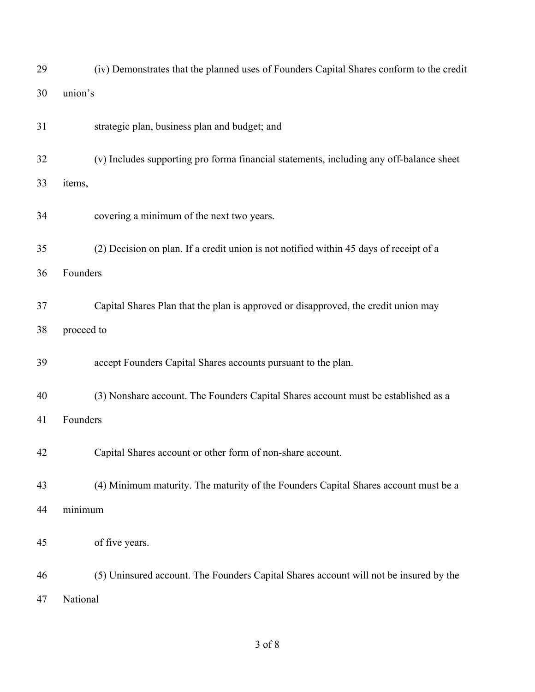| 29 | (iv) Demonstrates that the planned uses of Founders Capital Shares conform to the credit |
|----|------------------------------------------------------------------------------------------|
| 30 | union's                                                                                  |
| 31 | strategic plan, business plan and budget; and                                            |
| 32 | (v) Includes supporting pro forma financial statements, including any off-balance sheet  |
| 33 | items,                                                                                   |
| 34 | covering a minimum of the next two years.                                                |
| 35 | (2) Decision on plan. If a credit union is not notified within 45 days of receipt of a   |
| 36 | Founders                                                                                 |
| 37 | Capital Shares Plan that the plan is approved or disapproved, the credit union may       |
| 38 | proceed to                                                                               |
| 39 | accept Founders Capital Shares accounts pursuant to the plan.                            |
| 40 | (3) Nonshare account. The Founders Capital Shares account must be established as a       |
| 41 | Founders                                                                                 |
| 42 | Capital Shares account or other form of non-share account.                               |
| 43 | (4) Minimum maturity. The maturity of the Founders Capital Shares account must be a      |
| 44 | minimum                                                                                  |
| 45 | of five years.                                                                           |
| 46 | (5) Uninsured account. The Founders Capital Shares account will not be insured by the    |
| 47 | National                                                                                 |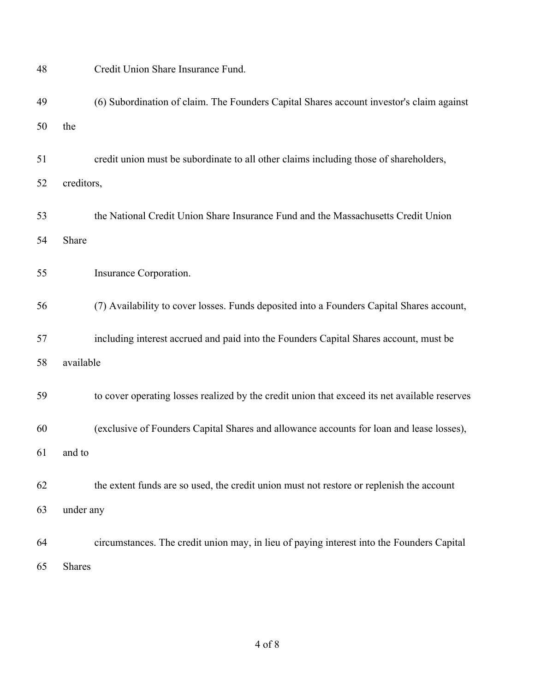| 48 |            | Credit Union Share Insurance Fund.                                                            |
|----|------------|-----------------------------------------------------------------------------------------------|
| 49 |            | (6) Subordination of claim. The Founders Capital Shares account investor's claim against      |
| 50 | the        |                                                                                               |
| 51 |            | credit union must be subordinate to all other claims including those of shareholders,         |
| 52 | creditors, |                                                                                               |
| 53 |            | the National Credit Union Share Insurance Fund and the Massachusetts Credit Union             |
| 54 | Share      |                                                                                               |
| 55 |            | Insurance Corporation.                                                                        |
| 56 |            | (7) Availability to cover losses. Funds deposited into a Founders Capital Shares account,     |
| 57 |            | including interest accrued and paid into the Founders Capital Shares account, must be         |
| 58 | available  |                                                                                               |
| 59 |            | to cover operating losses realized by the credit union that exceed its net available reserves |
| 60 |            | (exclusive of Founders Capital Shares and allowance accounts for loan and lease losses),      |
| 61 | and to     |                                                                                               |
| 62 |            | the extent funds are so used, the credit union must not restore or replenish the account      |
| 63 | under any  |                                                                                               |
| 64 |            | circumstances. The credit union may, in lieu of paying interest into the Founders Capital     |
| 65 | Shares     |                                                                                               |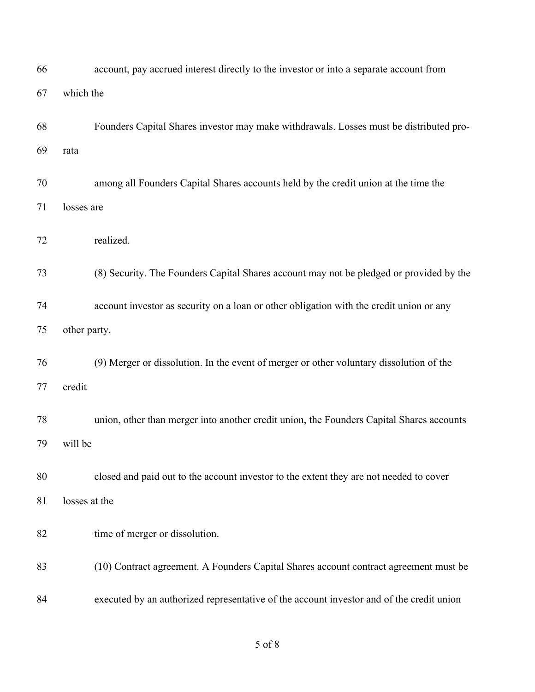| 66       | account, pay accrued interest directly to the investor or into a separate account from            |
|----------|---------------------------------------------------------------------------------------------------|
| 67       | which the                                                                                         |
| 68<br>69 | Founders Capital Shares investor may make withdrawals. Losses must be distributed pro-<br>rata    |
| 70<br>71 | among all Founders Capital Shares accounts held by the credit union at the time the<br>losses are |
| 72       | realized.                                                                                         |
| 73       | (8) Security. The Founders Capital Shares account may not be pledged or provided by the           |
| 74       | account investor as security on a loan or other obligation with the credit union or any           |
| 75       | other party.                                                                                      |
| 76       | (9) Merger or dissolution. In the event of merger or other voluntary dissolution of the           |
| 77       | credit                                                                                            |
| 78       | union, other than merger into another credit union, the Founders Capital Shares accounts          |
| 79       | will be                                                                                           |
| 80       | closed and paid out to the account investor to the extent they are not needed to cover            |
| 81       | losses at the                                                                                     |
| 82       | time of merger or dissolution.                                                                    |
| 83       | (10) Contract agreement. A Founders Capital Shares account contract agreement must be             |
| 84       | executed by an authorized representative of the account investor and of the credit union          |

of 8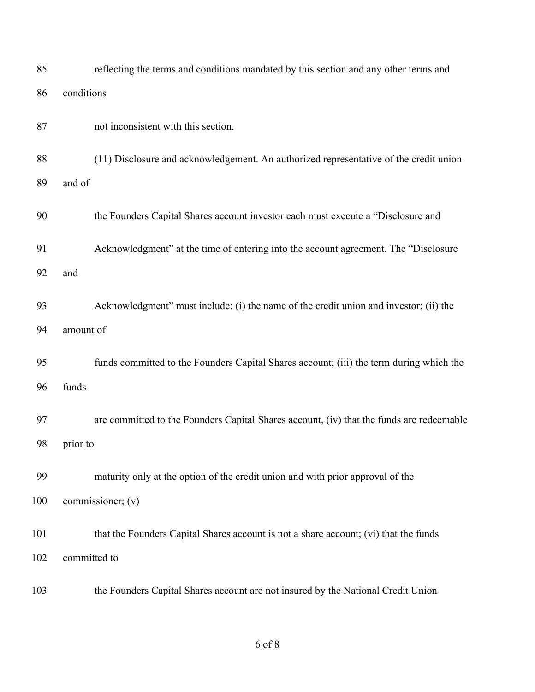| 85  | reflecting the terms and conditions mandated by this section and any other terms and     |
|-----|------------------------------------------------------------------------------------------|
| 86  | conditions                                                                               |
| 87  | not inconsistent with this section.                                                      |
| 88  | (11) Disclosure and acknowledgement. An authorized representative of the credit union    |
| 89  | and of                                                                                   |
| 90  | the Founders Capital Shares account investor each must execute a "Disclosure and         |
| 91  | Acknowledgment" at the time of entering into the account agreement. The "Disclosure      |
| 92  | and                                                                                      |
| 93  | Acknowledgment" must include: (i) the name of the credit union and investor; (ii) the    |
| 94  | amount of                                                                                |
| 95  | funds committed to the Founders Capital Shares account; (iii) the term during which the  |
| 96  | funds                                                                                    |
| 97  | are committed to the Founders Capital Shares account, (iv) that the funds are redeemable |
| 98  | prior to                                                                                 |
| 99  | maturity only at the option of the credit union and with prior approval of the           |
| 100 | commissioner; (v)                                                                        |
| 101 | that the Founders Capital Shares account is not a share account; (vi) that the funds     |
| 102 | committed to                                                                             |
| 103 | the Founders Capital Shares account are not insured by the National Credit Union         |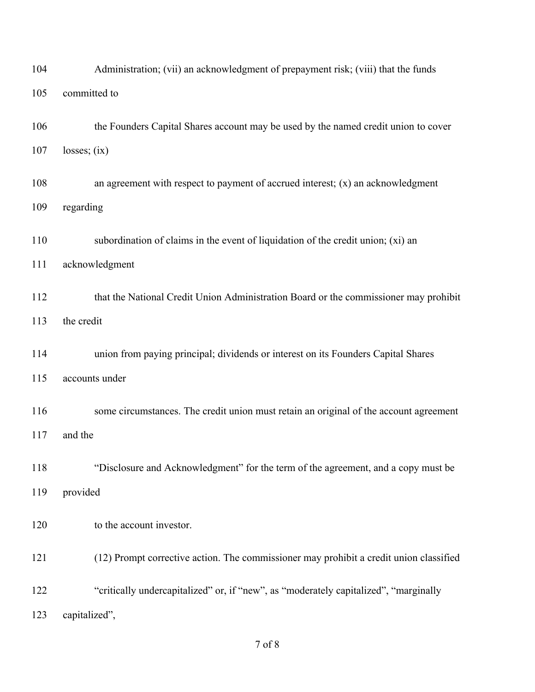| 104 | Administration; (vii) an acknowledgment of prepayment risk; (viii) that the funds      |
|-----|----------------------------------------------------------------------------------------|
| 105 | committed to                                                                           |
| 106 | the Founders Capital Shares account may be used by the named credit union to cover     |
| 107 | losses; (ix)                                                                           |
| 108 | an agreement with respect to payment of accrued interest; $(x)$ an acknowledgment      |
| 109 | regarding                                                                              |
| 110 | subordination of claims in the event of liquidation of the credit union; $(xi)$ an     |
| 111 | acknowledgment                                                                         |
| 112 | that the National Credit Union Administration Board or the commissioner may prohibit   |
| 113 | the credit                                                                             |
| 114 | union from paying principal; dividends or interest on its Founders Capital Shares      |
| 115 | accounts under                                                                         |
| 116 | some circumstances. The credit union must retain an original of the account agreement  |
| 117 | and the                                                                                |
| 118 | "Disclosure and Acknowledgment" for the term of the agreement, and a copy must be      |
| 119 | provided                                                                               |
| 120 | to the account investor.                                                               |
| 121 | (12) Prompt corrective action. The commissioner may prohibit a credit union classified |
| 122 | "critically undercapitalized" or, if "new", as "moderately capitalized", "marginally"  |
| 123 | capitalized",                                                                          |

of 8